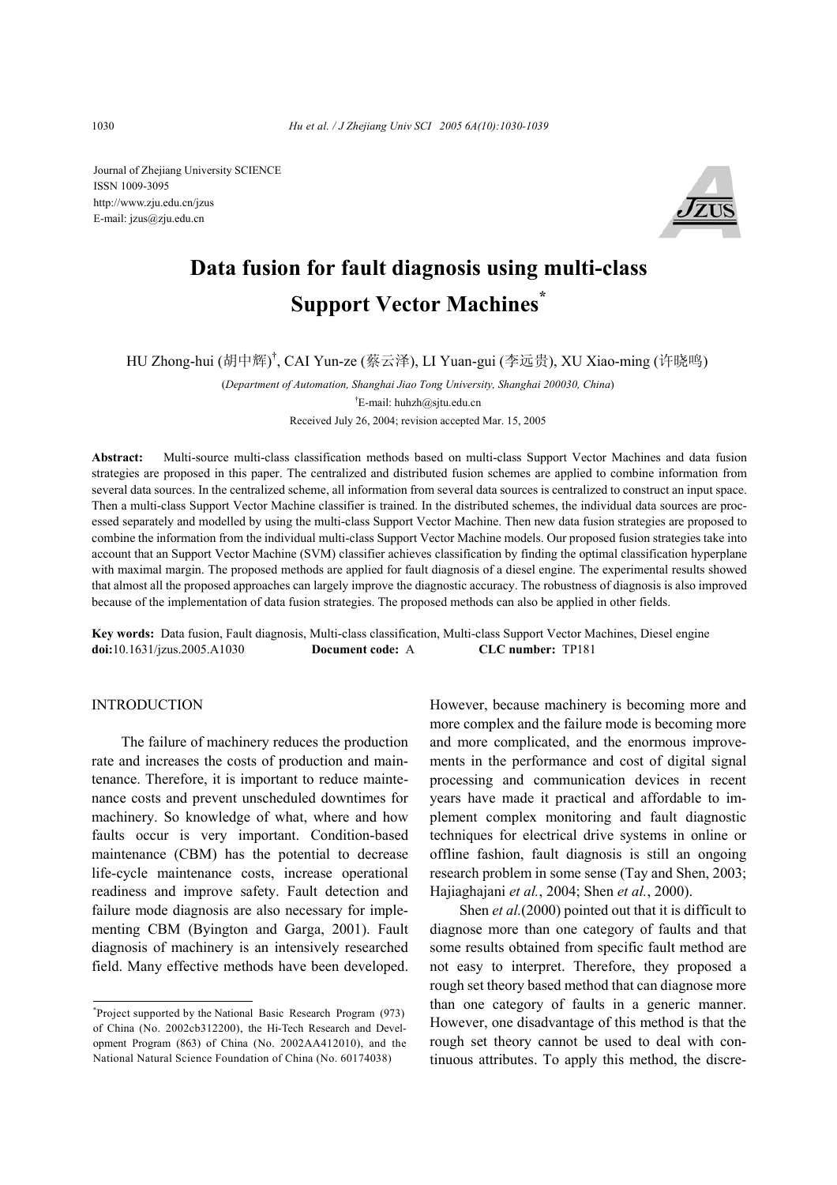Journal of Zhejiang University SCIENCE ISSN 1009-3095 http://www.zju.edu.cn/jzus E-mail: jzus@zju.edu.cn



# **Data fusion for fault diagnosis using multi-class Support Vector Machines\***

HU Zhong-hui (胡中辉)<sup>†</sup>, CAI Yun-ze (蔡云泽), LI Yuan-gui (李远贵), XU Xiao-ming (许晓鸣)

(*Department of Automation, Shanghai Jiao Tong University, Shanghai 200030, China*) † E-mail: huhzh@sjtu.edu.cn Received July 26, 2004; revision accepted Mar. 15, 2005

**Abstract:** Multi-source multi-class classification methods based on multi-class Support Vector Machines and data fusion strategies are proposed in this paper. The centralized and distributed fusion schemes are applied to combine information from several data sources. In the centralized scheme, all information from several data sources is centralized to construct an input space. Then a multi-class Support Vector Machine classifier is trained. In the distributed schemes, the individual data sources are processed separately and modelled by using the multi-class Support Vector Machine. Then new data fusion strategies are proposed to combine the information from the individual multi-class Support Vector Machine models. Our proposed fusion strategies take into account that an Support Vector Machine (SVM) classifier achieves classification by finding the optimal classification hyperplane with maximal margin. The proposed methods are applied for fault diagnosis of a diesel engine. The experimental results showed that almost all the proposed approaches can largely improve the diagnostic accuracy. The robustness of diagnosis is also improved because of the implementation of data fusion strategies. The proposed methods can also be applied in other fields.

**Key words:** Data fusion, Fault diagnosis, Multi-class classification, Multi-class Support Vector Machines, Diesel engine **doi:**10.1631/jzus.2005.A1030 **Document code:** A **CLC number:** TP181

## INTRODUCTION

The failure of machinery reduces the production rate and increases the costs of production and maintenance. Therefore, it is important to reduce maintenance costs and prevent unscheduled downtimes for machinery. So knowledge of what, where and how faults occur is very important. Condition-based maintenance (CBM) has the potential to decrease life-cycle maintenance costs, increase operational readiness and improve safety. Fault detection and failure mode diagnosis are also necessary for implementing CBM (Byington and Garga, 2001). Fault diagnosis of machinery is an intensively researched field. Many effective methods have been developed.

However, because machinery is becoming more and more complex and the failure mode is becoming more and more complicated, and the enormous improvements in the performance and cost of digital signal processing and communication devices in recent years have made it practical and affordable to implement complex monitoring and fault diagnostic techniques for electrical drive systems in online or offline fashion, fault diagnosis is still an ongoing research problem in some sense (Tay and Shen, 2003; Hajiaghajani *et al.*, 2004; Shen *et al.*, 2000).

Shen *et al.*(2000) pointed out that it is difficult to diagnose more than one category of faults and that some results obtained from specific fault method are not easy to interpret. Therefore, they proposed a rough set theory based method that can diagnose more than one category of faults in a generic manner. However, one disadvantage of this method is that the rough set theory cannot be used to deal with continuous attributes. To apply this method, the discre-

<sup>\*</sup> Project supported by the National Basic Research Program (973) of China (No. 2002cb312200), the Hi-Tech Research and Development Program (863) of China (No. 2002AA412010), and the National Natural Science Foundation of China (No. 60174038)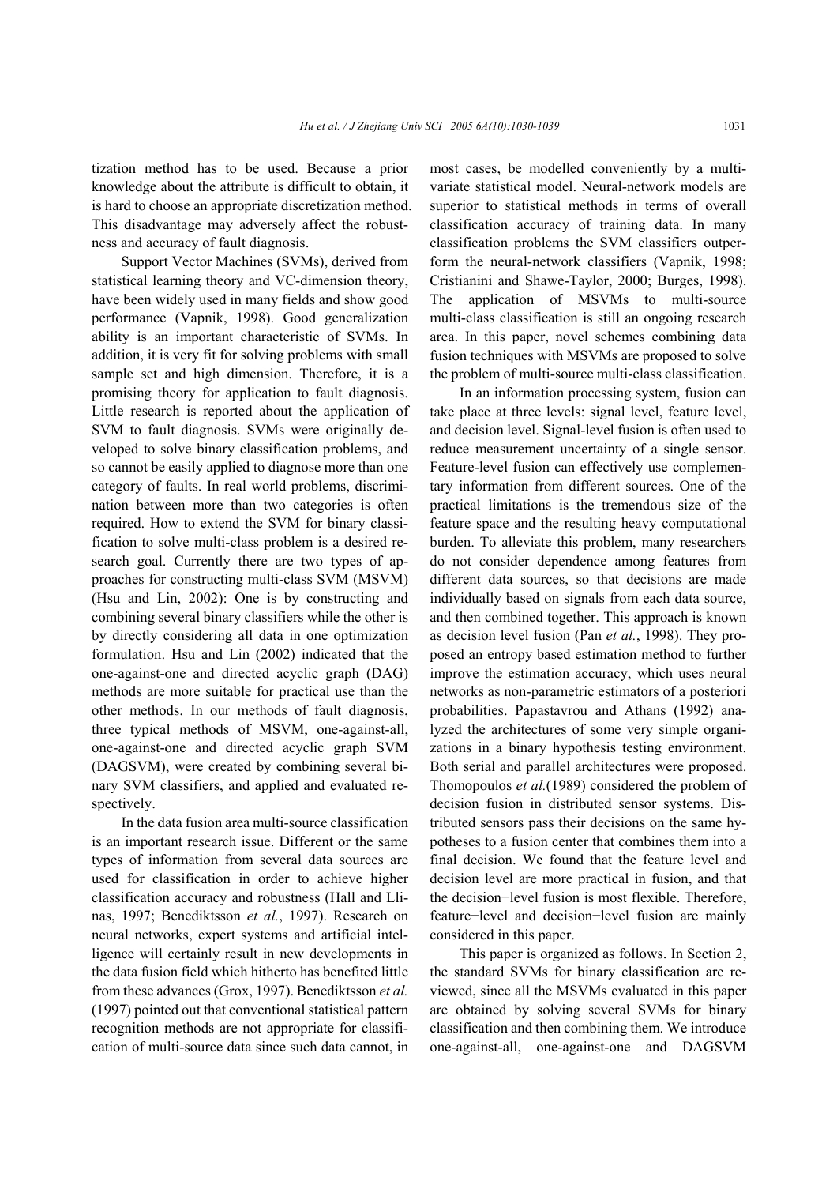tization method has to be used. Because a prior knowledge about the attribute is difficult to obtain, it is hard to choose an appropriate discretization method. This disadvantage may adversely affect the robustness and accuracy of fault diagnosis.

Support Vector Machines (SVMs), derived from statistical learning theory and VC-dimension theory, have been widely used in many fields and show good performance (Vapnik, 1998). Good generalization ability is an important characteristic of SVMs. In addition, it is very fit for solving problems with small sample set and high dimension. Therefore, it is a promising theory for application to fault diagnosis. Little research is reported about the application of SVM to fault diagnosis. SVMs were originally developed to solve binary classification problems, and so cannot be easily applied to diagnose more than one category of faults. In real world problems, discrimination between more than two categories is often required. How to extend the SVM for binary classification to solve multi-class problem is a desired research goal. Currently there are two types of approaches for constructing multi-class SVM (MSVM) (Hsu and Lin, 2002): One is by constructing and combining several binary classifiers while the other is by directly considering all data in one optimization formulation. Hsu and Lin (2002) indicated that the one-against-one and directed acyclic graph (DAG) methods are more suitable for practical use than the other methods. In our methods of fault diagnosis, three typical methods of MSVM, one-against-all, one-against-one and directed acyclic graph SVM (DAGSVM), were created by combining several binary SVM classifiers, and applied and evaluated respectively.

In the data fusion area multi-source classification is an important research issue. Different or the same types of information from several data sources are used for classification in order to achieve higher classification accuracy and robustness (Hall and Llinas, 1997; Benediktsson *et al.*, 1997). Research on neural networks, expert systems and artificial intelligence will certainly result in new developments in the data fusion field which hitherto has benefited little from these advances (Grox, 1997). Benediktsson *et al.* (1997) pointed out that conventional statistical pattern recognition methods are not appropriate for classification of multi-source data since such data cannot, in most cases, be modelled conveniently by a multivariate statistical model. Neural-network models are superior to statistical methods in terms of overall classification accuracy of training data. In many classification problems the SVM classifiers outperform the neural-network classifiers (Vapnik, 1998; Cristianini and Shawe-Taylor, 2000; Burges, 1998). The application of MSVMs to multi-source multi-class classification is still an ongoing research area. In this paper, novel schemes combining data fusion techniques with MSVMs are proposed to solve the problem of multi-source multi-class classification.

In an information processing system, fusion can take place at three levels: signal level, feature level, and decision level. Signal-level fusion is often used to reduce measurement uncertainty of a single sensor. Feature-level fusion can effectively use complementary information from different sources. One of the practical limitations is the tremendous size of the feature space and the resulting heavy computational burden. To alleviate this problem, many researchers do not consider dependence among features from different data sources, so that decisions are made individually based on signals from each data source, and then combined together. This approach is known as decision level fusion (Pan *et al.*, 1998). They proposed an entropy based estimation method to further improve the estimation accuracy, which uses neural networks as non-parametric estimators of a posteriori probabilities. Papastavrou and Athans (1992) analyzed the architectures of some very simple organizations in a binary hypothesis testing environment. Both serial and parallel architectures were proposed. Thomopoulos *et al.*(1989) considered the problem of decision fusion in distributed sensor systems. Distributed sensors pass their decisions on the same hypotheses to a fusion center that combines them into a final decision. We found that the feature level and decision level are more practical in fusion, and that the decision−level fusion is most flexible. Therefore, feature−level and decision−level fusion are mainly considered in this paper.

This paper is organized as follows. In Section 2, the standard SVMs for binary classification are reviewed, since all the MSVMs evaluated in this paper are obtained by solving several SVMs for binary classification and then combining them. We introduce one-against-all, one-against-one and DAGSVM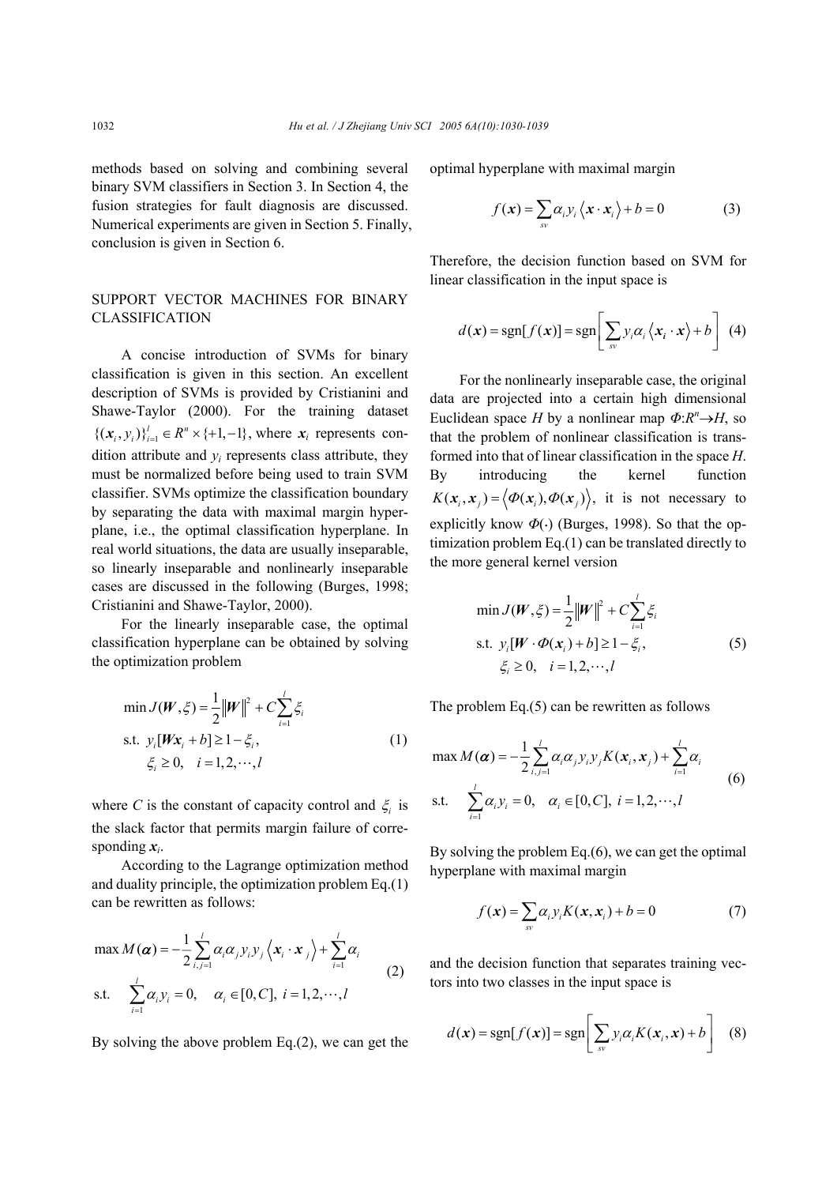methods based on solving and combining several binary SVM classifiers in Section 3. In Section 4, the fusion strategies for fault diagnosis are discussed. Numerical experiments are given in Section 5. Finally, conclusion is given in Section 6.

## SUPPORT VECTOR MACHINES FOR BINARY **CLASSIFICATION**

A concise introduction of SVMs for binary classification is given in this section. An excellent description of SVMs is provided by Cristianini and Shawe-Taylor (2000). For the training dataset  $\{(\mathbf{x}_i, y_i)\}_{i=1}^l \in \mathbb{R}^n \times \{+1, -1\}$ , where  $\mathbf{x}_i$  represents condition attribute and  $y_i$  represents class attribute, they must be normalized before being used to train SVM classifier. SVMs optimize the classification boundary by separating the data with maximal margin hyperplane, i.e., the optimal classification hyperplane. In real world situations, the data are usually inseparable, so linearly inseparable and nonlinearly inseparable cases are discussed in the following (Burges, 1998; Cristianini and Shawe-Taylor, 2000).

For the linearly inseparable case, the optimal classification hyperplane can be obtained by solving the optimization problem

$$
\min J(W, \xi) = \frac{1}{2} ||W||^{2} + C \sum_{i=1}^{l} \xi_{i}
$$
  
s.t.  $y_{i} [Wx_{i} + b] \ge 1 - \xi_{i}$ ,  
 $\xi_{i} \ge 0, \quad i = 1, 2, \dots, l$  (1)

where *C* is the constant of capacity control and  $\xi$  is the slack factor that permits margin failure of corresponding *xi*.

According to the Lagrange optimization method and duality principle, the optimization problem Eq.(1) can be rewritten as follows:

$$
\max M(\boldsymbol{\alpha}) = -\frac{1}{2} \sum_{i,j=1}^{l} \alpha_i \alpha_j y_i y_j \langle \boldsymbol{x}_i \cdot \boldsymbol{x}_j \rangle + \sum_{i=1}^{l} \alpha_i
$$
  
s.t. 
$$
\sum_{i=1}^{l} \alpha_i y_i = 0, \quad \alpha_i \in [0, C], \ i = 1, 2, \cdots, l
$$
 (2)

By solving the above problem Eq.(2), we can get the

optimal hyperplane with maximal margin

$$
f(\mathbf{x}) = \sum_{s} \alpha_i y_i \langle \mathbf{x} \cdot \mathbf{x}_i \rangle + b = 0
$$
 (3)

Therefore, the decision function based on SVM for linear classification in the input space is

$$
d(\mathbf{x}) = \text{sgn}[f(\mathbf{x})] = \text{sgn}\left[\sum_{\text{sv}} y_i \alpha_i \langle \mathbf{x}_i \cdot \mathbf{x} \rangle + b\right]
$$
(4)

For the nonlinearly inseparable case, the original data are projected into a certain high dimensional Euclidean space *H* by a nonlinear map  $\Phi: R^n \to H$ , so that the problem of nonlinear classification is transformed into that of linear classification in the space *H*. By introducing the kernel function  $K(\mathbf{x}_i, \mathbf{x}_j) = \langle \boldsymbol{\Phi}(\mathbf{x}_i), \boldsymbol{\Phi}(\mathbf{x}_j) \rangle$ , it is not necessary to explicitly know *Φ*(⋅) (Burges, 1998). So that the optimization problem Eq.(1) can be translated directly to the more general kernel version

$$
\min J(W, \xi) = \frac{1}{2} ||W||^2 + C \sum_{i=1}^{l} \xi_i
$$
  
s.t.  $y_i [W \cdot \Phi(x_i) + b] \ge 1 - \xi_i$ ,  
 $\xi_i \ge 0, \quad i = 1, 2, \dots, l$  (5)

The problem Eq.(5) can be rewritten as follows

max 
$$
M(\alpha) = -\frac{1}{2} \sum_{i,j=1}^{l} \alpha_i \alpha_j y_i y_j K(x_i, x_j) + \sum_{i=1}^{l} \alpha_i
$$
  
s.t.  $\sum_{i=1}^{l} \alpha_i y_i = 0, \alpha_i \in [0, C], i = 1, 2, \dots, l$  (6)

By solving the problem Eq.(6), we can get the optimal hyperplane with maximal margin

$$
f(\mathbf{x}) = \sum_{s} \alpha_i y_i K(\mathbf{x}, \mathbf{x}_i) + b = 0 \tag{7}
$$

and the decision function that separates training vectors into two classes in the input space is

$$
d(\mathbf{x}) = \text{sgn}[f(\mathbf{x})] = \text{sgn}\left[\sum_{\text{sv}} y_i \alpha_i K(\mathbf{x}_i, \mathbf{x}) + b\right]
$$
 (8)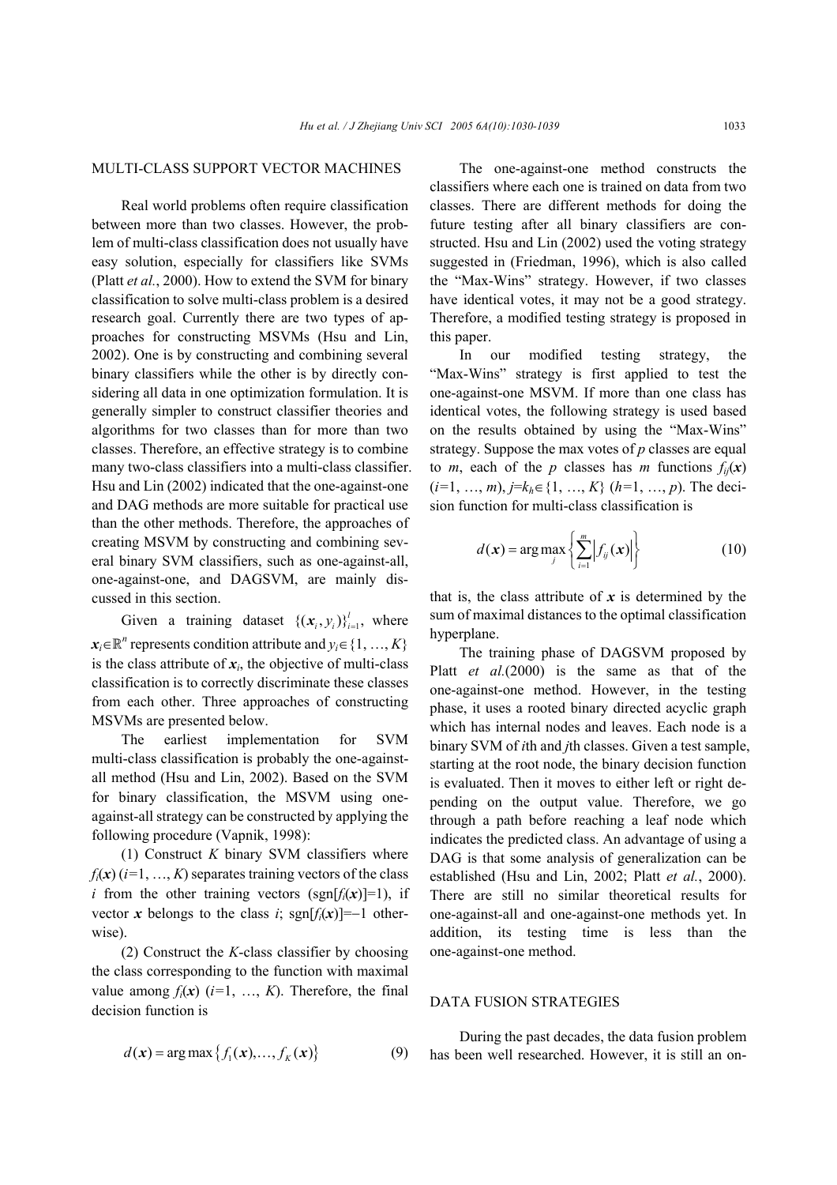## MULTI-CLASS SUPPORT VECTOR MACHINES

Real world problems often require classification between more than two classes. However, the problem of multi-class classification does not usually have easy solution, especially for classifiers like SVMs (Platt *et al.*, 2000). How to extend the SVM for binary classification to solve multi-class problem is a desired research goal. Currently there are two types of approaches for constructing MSVMs (Hsu and Lin, 2002). One is by constructing and combining several binary classifiers while the other is by directly considering all data in one optimization formulation. It is generally simpler to construct classifier theories and algorithms for two classes than for more than two classes. Therefore, an effective strategy is to combine many two-class classifiers into a multi-class classifier. Hsu and Lin (2002) indicated that the one-against-one and DAG methods are more suitable for practical use than the other methods. Therefore, the approaches of creating MSVM by constructing and combining several binary SVM classifiers, such as one-against-all, one-against-one, and DAGSVM, are mainly discussed in this section.

Given a training dataset  $\{ (x_i, y_i) \}_{i=1}^l$ , where  $x_i \in \mathbb{R}^n$  represents condition attribute and  $y_i \in \{1, ..., K\}$ is the class attribute of  $x_i$ , the objective of multi-class classification is to correctly discriminate these classes from each other. Three approaches of constructing MSVMs are presented below.

The earliest implementation for SVM multi-class classification is probably the one-againstall method (Hsu and Lin, 2002). Based on the SVM for binary classification, the MSVM using oneagainst-all strategy can be constructed by applying the following procedure (Vapnik, 1998):

(1) Construct *K* binary SVM classifiers where  $f_i(x)$  ( $i=1, \ldots, K$ ) separates training vectors of the class *i* from the other training vectors (sgn[ $f_i(x)$ ]=1), if vector *x* belongs to the class *i*; sgn[ $f_i(x)$ ]=−1 otherwise).

(2) Construct the *K*-class classifier by choosing the class corresponding to the function with maximal value among  $f_i(x)$  ( $i=1, \ldots, K$ ). Therefore, the final decision function is

$$
d(x) = \arg \max \{f_1(x),..., f_K(x)\}
$$
 (9)

The one-against-one method constructs the classifiers where each one is trained on data from two classes. There are different methods for doing the future testing after all binary classifiers are constructed. Hsu and Lin (2002) used the voting strategy suggested in (Friedman, 1996), which is also called the "Max-Wins" strategy. However, if two classes have identical votes, it may not be a good strategy. Therefore, a modified testing strategy is proposed in this paper.

In our modified testing strategy, the "Max-Wins" strategy is first applied to test the one-against-one MSVM. If more than one class has identical votes, the following strategy is used based on the results obtained by using the "Max-Wins" strategy. Suppose the max votes of *p* classes are equal to *m*, each of the *p* classes has *m* functions  $f_{ij}(x)$ (*i=*1, …, *m*), *j*=*kh*∈{1, …, *K*} (*h=*1, …, *p*). The decision function for multi-class classification is

$$
d(\mathbf{x}) = \arg \max_{j} \left\{ \sum_{i=1}^{m} \left| f_{ij}(\mathbf{x}) \right| \right\} \tag{10}
$$

that is, the class attribute of  $x$  is determined by the sum of maximal distances to the optimal classification hyperplane.

The training phase of DAGSVM proposed by Platt *et al.*(2000) is the same as that of the one-against-one method. However, in the testing phase, it uses a rooted binary directed acyclic graph which has internal nodes and leaves. Each node is a binary SVM of *i*th and *j*th classes. Given a test sample, starting at the root node, the binary decision function is evaluated. Then it moves to either left or right depending on the output value. Therefore, we go through a path before reaching a leaf node which indicates the predicted class. An advantage of using a DAG is that some analysis of generalization can be established (Hsu and Lin, 2002; Platt *et al.*, 2000). There are still no similar theoretical results for one-against-all and one-against-one methods yet. In addition, its testing time is less than the one-against-one method.

#### DATA FUSION STRATEGIES

During the past decades, the data fusion problem has been well researched. However, it is still an on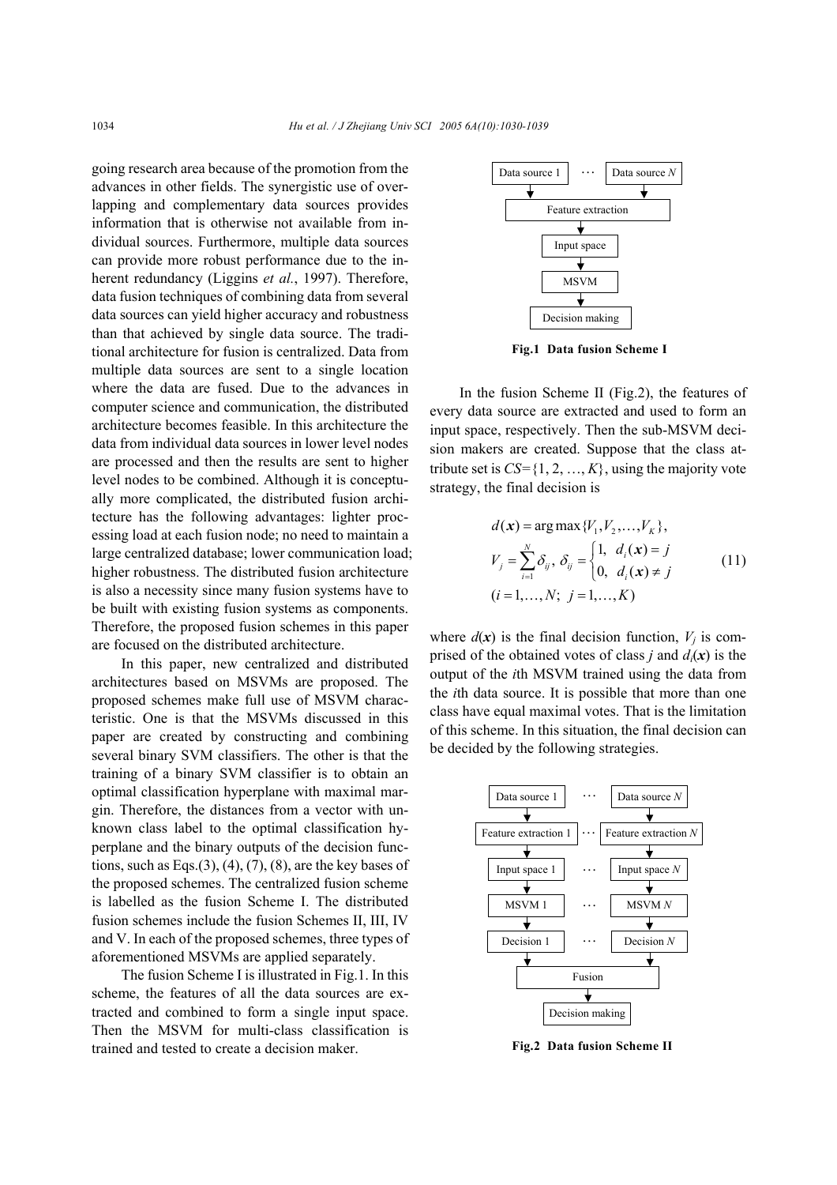going research area because of the promotion from the advances in other fields. The synergistic use of overlapping and complementary data sources provides information that is otherwise not available from individual sources. Furthermore, multiple data sources can provide more robust performance due to the inherent redundancy (Liggins *et al.*, 1997). Therefore, data fusion techniques of combining data from several data sources can yield higher accuracy and robustness than that achieved by single data source. The traditional architecture for fusion is centralized. Data from multiple data sources are sent to a single location where the data are fused. Due to the advances in computer science and communication, the distributed architecture becomes feasible. In this architecture the data from individual data sources in lower level nodes are processed and then the results are sent to higher level nodes to be combined. Although it is conceptually more complicated, the distributed fusion architecture has the following advantages: lighter processing load at each fusion node; no need to maintain a large centralized database; lower communication load; higher robustness. The distributed fusion architecture is also a necessity since many fusion systems have to be built with existing fusion systems as components. Therefore, the proposed fusion schemes in this paper are focused on the distributed architecture.

In this paper, new centralized and distributed architectures based on MSVMs are proposed. The proposed schemes make full use of MSVM characteristic. One is that the MSVMs discussed in this paper are created by constructing and combining several binary SVM classifiers. The other is that the training of a binary SVM classifier is to obtain an optimal classification hyperplane with maximal margin. Therefore, the distances from a vector with unknown class label to the optimal classification hyperplane and the binary outputs of the decision functions, such as Eqs. $(3)$ ,  $(4)$ ,  $(7)$ ,  $(8)$ , are the key bases of the proposed schemes. The centralized fusion scheme is labelled as the fusion Scheme I. The distributed fusion schemes include the fusion Schemes II, III, IV and V. In each of the proposed schemes, three types of aforementioned MSVMs are applied separately.

The fusion Scheme I is illustrated in Fig.1. In this scheme, the features of all the data sources are extracted and combined to form a single input space. Then the MSVM for multi-class classification is trained and tested to create a decision maker.



**Fig.1 Data fusion Scheme I**

In the fusion Scheme II (Fig.2), the features of every data source are extracted and used to form an input space, respectively. Then the sub-MSVM decision makers are created. Suppose that the class attribute set is  $CS = \{1, 2, ..., K\}$ , using the majority vote strategy, the final decision is

$$
d(\mathbf{x}) = \arg \max \{V_1, V_2, ..., V_K\},
$$
  
\n
$$
V_j = \sum_{i=1}^N \delta_{ij}, \delta_{ij} = \begin{cases} 1, & d_i(\mathbf{x}) = j \\ 0, & d_i(\mathbf{x}) \neq j \end{cases}
$$
 (11)  
\n
$$
(i = 1, ..., N; j = 1, ..., K)
$$

where  $d(x)$  is the final decision function,  $V_j$  is comprised of the obtained votes of class *j* and  $d_i(x)$  is the output of the *i*th MSVM trained using the data from the *i*th data source. It is possible that more than one class have equal maximal votes. That is the limitation of this scheme. In this situation, the final decision can be decided by the following strategies.



**Fig.2 Data fusion Scheme II**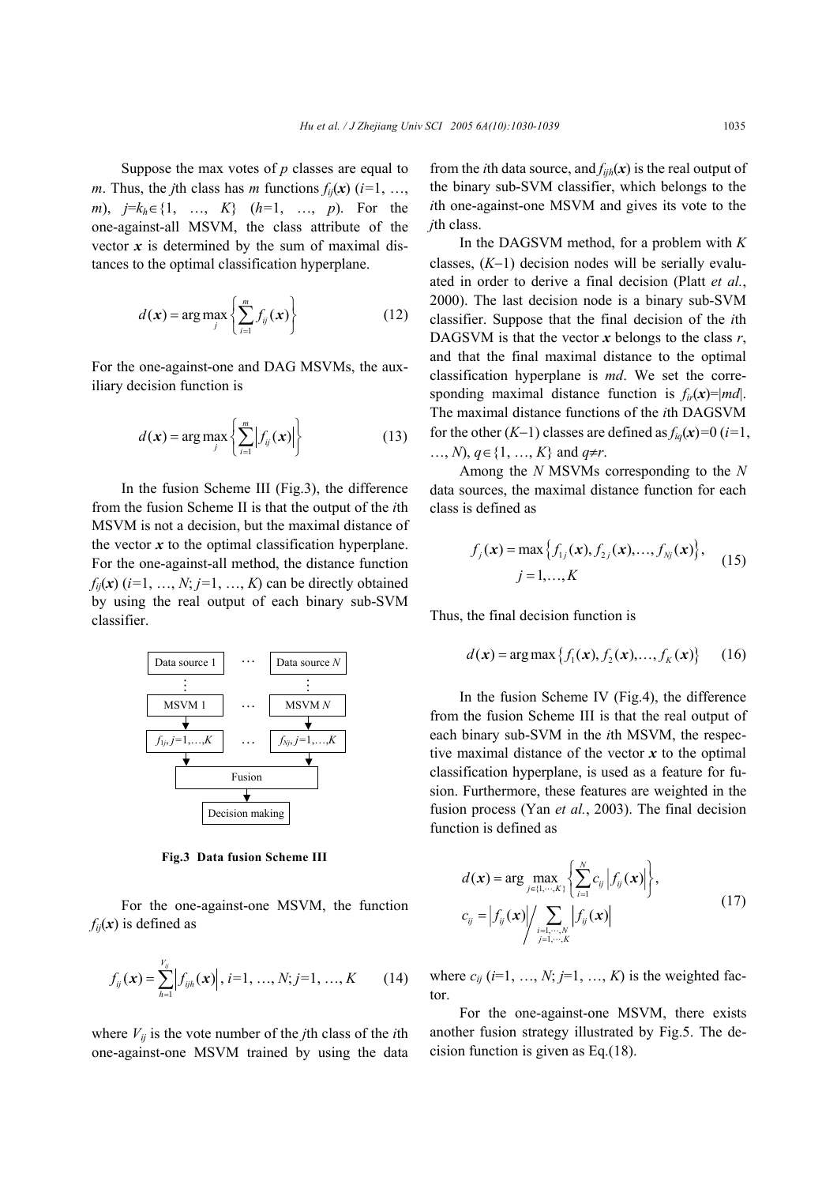Suppose the max votes of *p* classes are equal to *m*. Thus, the *j*th class has *m* functions  $f_{ii}(x)$  ( $i=1, \ldots,$ *m*), *j*=*kh*∈{1, …, *K*} (*h=*1, …, *p*). For the one-against-all MSVM, the class attribute of the vector  $x$  is determined by the sum of maximal distances to the optimal classification hyperplane.

$$
d(\mathbf{x}) = \arg \max_{j} \left\{ \sum_{i=1}^{m} f_{ij}(\mathbf{x}) \right\} \tag{12}
$$

For the one-against-one and DAG MSVMs, the auxiliary decision function is

$$
d(\mathbf{x}) = \arg \max_{j} \left\{ \sum_{i=1}^{m} \left| f_{ij}(\mathbf{x}) \right| \right\}
$$
 (13)

In the fusion Scheme III (Fig.3), the difference from the fusion Scheme II is that the output of the *i*th MSVM is not a decision, but the maximal distance of the vector  $x$  to the optimal classification hyperplane. For the one-against-all method, the distance function  $f_{ii}(\mathbf{x})$  ( $i=1, \ldots, N; j=1, \ldots, K$ ) can be directly obtained by using the real output of each binary sub-SVM classifier.



**Fig.3 Data fusion Scheme III**

For the one-against-one MSVM, the function  $f_{ii}(x)$  is defined as

$$
f_{ij}(\mathbf{x}) = \sum_{h=1}^{V_{ij}} \left| f_{ijh}(\mathbf{x}) \right|, i=1, ..., N; j=1, ..., K \quad (14)
$$

where  $V_{ij}$  is the vote number of the *j*th class of the *i*th one-against-one MSVM trained by using the data

from the *i*th data source, and  $f_{ijh}(x)$  is the real output of the binary sub-SVM classifier, which belongs to the *i*th one-against-one MSVM and gives its vote to the *j*th class.

In the DAGSVM method, for a problem with *K* classes, (*K*−1) decision nodes will be serially evaluated in order to derive a final decision (Platt *et al.*, 2000). The last decision node is a binary sub-SVM classifier. Suppose that the final decision of the *i*th DAGSVM is that the vector  $x$  belongs to the class  $r$ , and that the final maximal distance to the optimal classification hyperplane is *md*. We set the corresponding maximal distance function is  $f_{ir}(x) = |md|$ . The maximal distance functions of the *i*th DAGSVM for the other  $(K-1)$  classes are defined as  $f_{iq}(x) = 0$  (*i*=1, …, *N*), *q*∈{1, …, *K*} and *q*≠*r*.

Among the *N* MSVMs corresponding to the *N* data sources, the maximal distance function for each class is defined as

$$
f_j(\mathbf{x}) = \max\left\{f_{1j}(\mathbf{x}), f_{2j}(\mathbf{x}), ..., f_{Nj}(\mathbf{x})\right\}, \quad (15)
$$
  
 $j = 1, ..., K$ 

Thus, the final decision function is

$$
d(x) = \arg \max \{f_1(x), f_2(x), \dots, f_K(x)\} \qquad (16)
$$

In the fusion Scheme IV (Fig.4), the difference from the fusion Scheme III is that the real output of each binary sub-SVM in the *i*th MSVM, the respective maximal distance of the vector  $x$  to the optimal classification hyperplane, is used as a feature for fusion. Furthermore, these features are weighted in the fusion process (Yan *et al.*, 2003). The final decision function is defined as

$$
d(\mathbf{x}) = \arg \max_{j \in \{1, \cdots, K\}} \left\{ \sum_{i=1}^{N} c_{ij} |f_{ij}(\mathbf{x})| \right\},
$$
  

$$
c_{ij} = \left| f_{ij}(\mathbf{x}) \right| / \sum_{\substack{i=1, \cdots, N \\ j=1, \cdots, K}} \left| f_{ij}(\mathbf{x}) \right|
$$
 (17)

where  $c_{ij}$  ( $i=1, ..., N; j=1, ..., K$ ) is the weighted factor.

For the one-against-one MSVM, there exists another fusion strategy illustrated by Fig.5. The decision function is given as Eq.(18).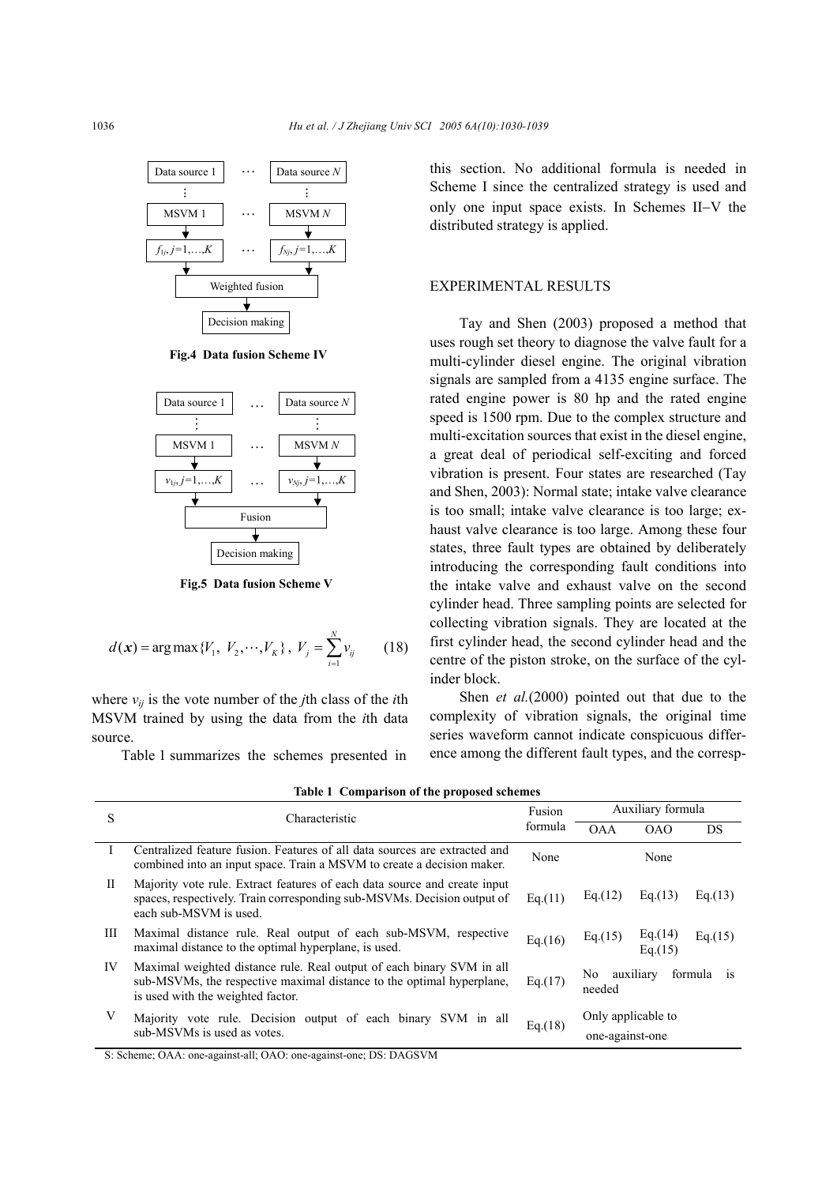



$$
d(\mathbf{x}) = \arg \max \{V_1, V_2, \cdots, V_K\}, V_j = \sum_{i=1}^{N} v_{ij}
$$
 (18)

where  $v_{ij}$  is the vote number of the *j*th class of the *i*th MSVM trained by using the data from the *i*th data source.

Table 1 summarizes the schemes presented in

this section. No additional formula is needed in Scheme I since the centralized strategy is used and only one input space exists. In Schemes II−V the distributed strategy is applied.

## EXPERIMENTAL RESULTS

Tay and Shen (2003) proposed a method that uses rough set theory to diagnose the valve fault for a multi-cylinder diesel engine. The original vibration signals are sampled from a 4135 engine surface. The rated engine power is 80 hp and the rated engine speed is 1500 rpm. Due to the complex structure and multi-excitation sources that exist in the diesel engine, a great deal of periodical self-exciting and forced vibration is present. Four states are researched (Tay and Shen, 2003): Normal state; intake valve clearance is too small; intake valve clearance is too large; exhaust valve clearance is too large. Among these four states, three fault types are obtained by deliberately introducing the corresponding fault conditions into the intake valve and exhaust valve on the second cylinder head. Three sampling points are selected for collecting vibration signals. They are located at the first cylinder head, the second cylinder head and the centre of the piston stroke, on the surface of the cylinder block.

Shen *et al.*(2000) pointed out that due to the complexity of vibration signals, the original time series waveform cannot indicate conspicuous difference among the different fault types, and the corresp-

| Table 1 Comparison of the proposed schemes |  |  |
|--------------------------------------------|--|--|
|                                            |  |  |

| S            | Characteristic                                                                                                                                                                      |         | Auxiliary formula                                  |                    |         |
|--------------|-------------------------------------------------------------------------------------------------------------------------------------------------------------------------------------|---------|----------------------------------------------------|--------------------|---------|
|              |                                                                                                                                                                                     | formula | <b>OAA</b>                                         | <b>OAO</b>         | DS      |
| $\mathbf{I}$ | Centralized feature fusion. Features of all data sources are extracted and<br>combined into an input space. Train a MSVM to create a decision maker.                                | None    |                                                    | None               |         |
| $\mathbf{I}$ | Majority vote rule. Extract features of each data source and create input<br>spaces, respectively. Train corresponding sub-MSVMs. Decision output of<br>each sub-MSVM is used.      | Eq.(11) | Eq.(12)                                            | Eq.(13)            | Eq.(13) |
| Ш            | Maximal distance rule. Real output of each sub-MSVM, respective<br>maximal distance to the optimal hyperplane, is used.                                                             | Eq.(16) | Eq.(15)                                            | Eq.(14)<br>Eq.(15) | Eq.(15) |
| IV           | Maximal weighted distance rule. Real output of each binary SVM in all<br>sub-MSVMs, the respective maximal distance to the optimal hyperplane.<br>is used with the weighted factor. | Eq.(17) | auxiliary<br>formula<br>No.<br><b>1S</b><br>needed |                    |         |
| V            | Majority vote rule. Decision output of each binary SVM in all<br>sub-MSVMs is used as votes.                                                                                        | Eq.(18) | Only applicable to<br>one-against-one              |                    |         |

S: Scheme; OAA: one-against-all; OAO: one-against-one; DS: DAGSVM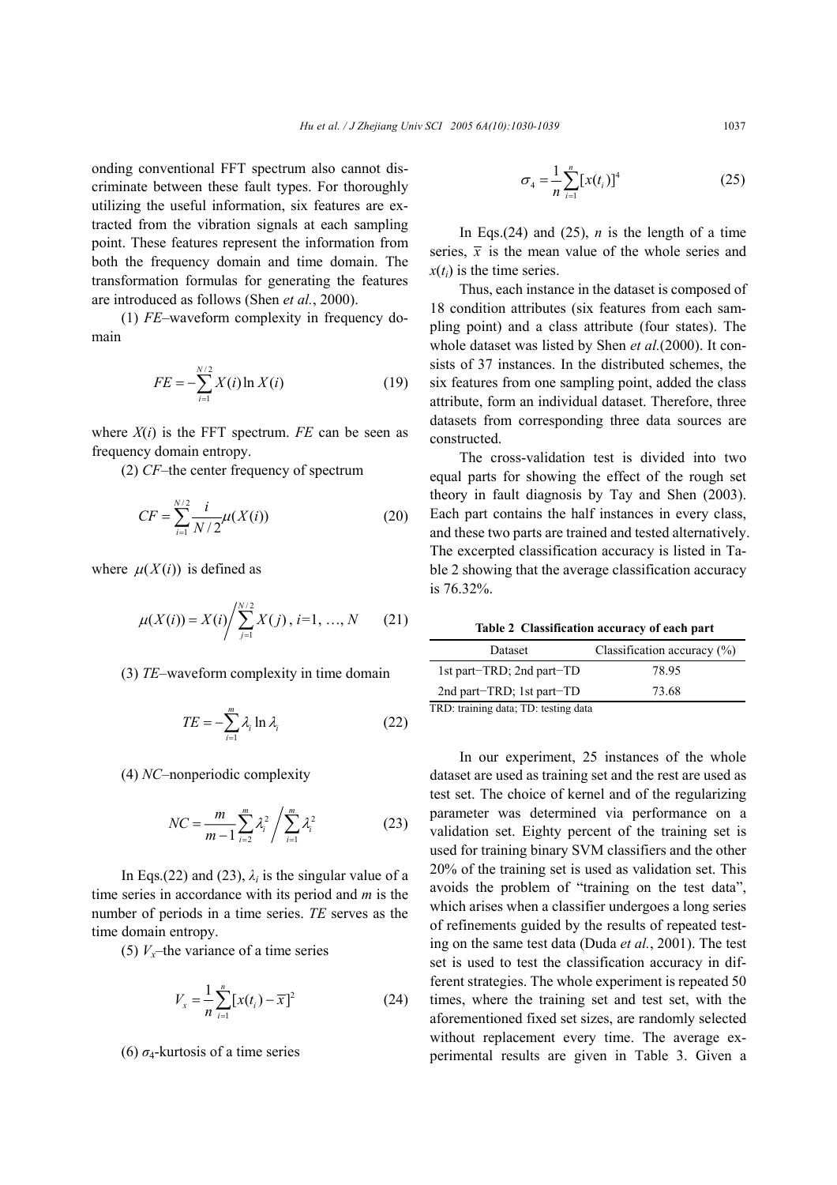onding conventional FFT spectrum also cannot discriminate between these fault types. For thoroughly utilizing the useful information, six features are extracted from the vibration signals at each sampling point. These features represent the information from both the frequency domain and time domain. The transformation formulas for generating the features are introduced as follows (Shen *et al.*, 2000).

(1) *FE*–waveform complexity in frequency domain

$$
FE = -\sum_{i=1}^{N/2} X(i) \ln X(i)
$$
 (19)

where  $X(i)$  is the FFT spectrum. *FE* can be seen as frequency domain entropy.

(2) *CF*–the center frequency of spectrum

$$
CF = \sum_{i=1}^{N/2} \frac{i}{N/2} \mu(X(i))
$$
 (20)

where  $\mu(X(i))$  is defined as

$$
\mu(X(i)) = X(i) / \sum_{j=1}^{N/2} X(j), \, i=1, \, \dots, N \qquad (21)
$$

(3) *TE*–waveform complexity in time domain

$$
TE = -\sum_{i=1}^{m} \lambda_i \ln \lambda_i
$$
 (22)

(4) *NC*–nonperiodic complexity

$$
NC = \frac{m}{m-1} \sum_{i=2}^{m} \lambda_i^2 / \sum_{i=1}^{m} \lambda_i^2
$$
 (23)

In Eqs.(22) and (23),  $\lambda_i$  is the singular value of a time series in accordance with its period and *m* is the number of periods in a time series. *TE* serves as the time domain entropy.

(5)  $V_x$ –the variance of a time series

$$
V_{x} = \frac{1}{n} \sum_{i=1}^{n} [x(t_{i}) - \overline{x}]^{2}
$$
 (24)

(6)  $\sigma_4$ -kurtosis of a time series

$$
\sigma_4 = \frac{1}{n} \sum_{i=1}^{n} [x(t_i)]^4
$$
 (25)

In Eqs.(24) and (25),  $n$  is the length of a time series,  $\bar{x}$  is the mean value of the whole series and  $x(t_i)$  is the time series.

Thus, each instance in the dataset is composed of 18 condition attributes (six features from each sampling point) and a class attribute (four states). The whole dataset was listed by Shen *et al.*(2000). It consists of 37 instances. In the distributed schemes, the six features from one sampling point, added the class attribute, form an individual dataset. Therefore, three datasets from corresponding three data sources are constructed.

The cross-validation test is divided into two equal parts for showing the effect of the rough set theory in fault diagnosis by Tay and Shen (2003). Each part contains the half instances in every class, and these two parts are trained and tested alternatively. The excerpted classification accuracy is listed in Table 2 showing that the average classification accuracy is 76.32%.

| Dataset                              | Classification accuracy $(\% )$ |
|--------------------------------------|---------------------------------|
| 1st part-TRD; 2nd part-TD            | 78.95                           |
| 2nd part-TRD; 1st part-TD            | 73.68                           |
| TRD: training data; TD: testing data |                                 |

In our experiment, 25 instances of the whole dataset are used as training set and the rest are used as test set. The choice of kernel and of the regularizing parameter was determined via performance on a validation set. Eighty percent of the training set is used for training binary SVM classifiers and the other 20% of the training set is used as validation set. This avoids the problem of "training on the test data", which arises when a classifier undergoes a long series of refinements guided by the results of repeated testing on the same test data (Duda *et al.*, 2001). The test set is used to test the classification accuracy in different strategies. The whole experiment is repeated 50 times, where the training set and test set, with the aforementioned fixed set sizes, are randomly selected without replacement every time. The average experimental results are given in Table 3. Given a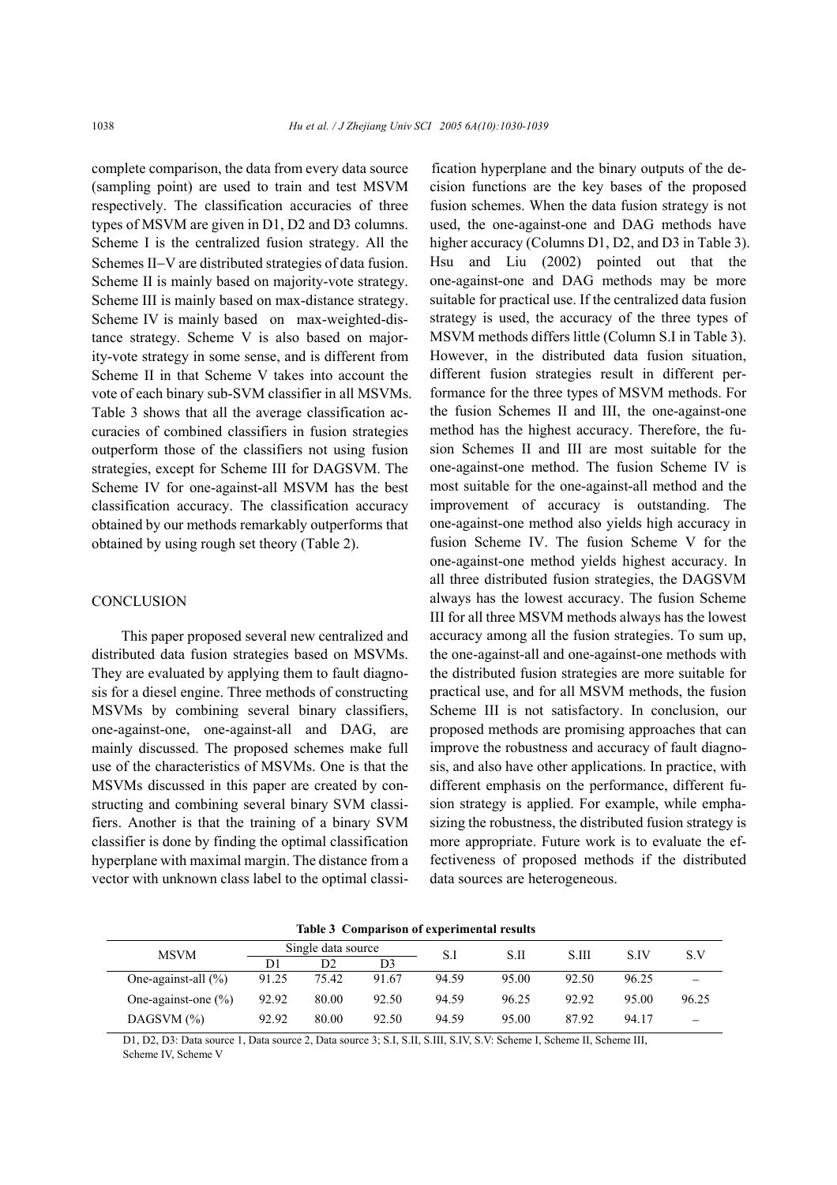complete comparison, the data from every data source (sampling point) are used to train and test MSVM respectively. The classification accuracies of three types of MSVM are given in D1, D2 and D3 columns. Scheme I is the centralized fusion strategy. All the Schemes II−V are distributed strategies of data fusion. Scheme II is mainly based on majority-vote strategy. Scheme III is mainly based on max-distance strategy. Scheme IV is mainly based on max-weighted-distance strategy. Scheme V is also based on majority-vote strategy in some sense, and is different from Scheme II in that Scheme V takes into account the vote of each binary sub-SVM classifier in all MSVMs. Table 3 shows that all the average classification accuracies of combined classifiers in fusion strategies outperform those of the classifiers not using fusion strategies, except for Scheme III for DAGSVM. The Scheme IV for one-against-all MSVM has the best classification accuracy. The classification accuracy obtained by our methods remarkably outperforms that obtained by using rough set theory (Table 2).

### **CONCLUSION**

This paper proposed several new centralized and distributed data fusion strategies based on MSVMs. They are evaluated by applying them to fault diagnosis for a diesel engine. Three methods of constructing MSVMs by combining several binary classifiers, one-against-one, one-against-all and DAG, are mainly discussed. The proposed schemes make full use of the characteristics of MSVMs. One is that the MSVMs discussed in this paper are created by constructing and combining several binary SVM classifiers. Another is that the training of a binary SVM classifier is done by finding the optimal classification hyperplane with maximal margin. The distance from a vector with unknown class label to the optimal classi-

fication hyperplane and the binary outputs of the decision functions are the key bases of the proposed fusion schemes. When the data fusion strategy is not used, the one-against-one and DAG methods have higher accuracy (Columns D1, D2, and D3 in Table 3). Hsu and Liu (2002) pointed out that the one-against-one and DAG methods may be more suitable for practical use. If the centralized data fusion strategy is used, the accuracy of the three types of MSVM methods differs little (Column S.I in Table 3). However, in the distributed data fusion situation, different fusion strategies result in different performance for the three types of MSVM methods. For the fusion Schemes II and III, the one-against-one method has the highest accuracy. Therefore, the fusion Schemes II and III are most suitable for the one-against-one method. The fusion Scheme IV is most suitable for the one-against-all method and the improvement of accuracy is outstanding. The one-against-one method also yields high accuracy in fusion Scheme IV. The fusion Scheme V for the one-against-one method yields highest accuracy. In all three distributed fusion strategies, the DAGSVM always has the lowest accuracy. The fusion Scheme III for all three MSVM methods always has the lowest accuracy among all the fusion strategies. To sum up, the one-against-all and one-against-one methods with the distributed fusion strategies are more suitable for practical use, and for all MSVM methods, the fusion Scheme III is not satisfactory. In conclusion, our proposed methods are promising approaches that can improve the robustness and accuracy of fault diagnosis, and also have other applications. In practice, with different emphasis on the performance, different fusion strategy is applied. For example, while emphasizing the robustness, the distributed fusion strategy is more appropriate. Future work is to evaluate the effectiveness of proposed methods if the distributed data sources are heterogeneous.

**Table 3 Comparison of experimental results** 

| <b>MSVM</b>             | Single data source |       | S.I            | S.II  | S.III | S.IV  | S.V   |       |
|-------------------------|--------------------|-------|----------------|-------|-------|-------|-------|-------|
|                         | D1                 | D2    | D <sub>3</sub> |       |       |       |       |       |
| One-against-all $(\% )$ | 91.25              | 75.42 | 91.67          | 94.59 | 95.00 | 92.50 | 96.25 |       |
| One-against-one $(\% )$ | 92.92              | 80.00 | 92.50          | 94.59 | 96.25 | 92.92 | 95.00 | 96.25 |
| DAGSVM $(%)$            | 92.92              | 80.00 | 92.50          | 94.59 | 95.00 | 87.92 | 94.17 |       |

D1, D2, D3: Data source 1, Data source 2, Data source 3; S.I, S.II, S.III, S.IV, S.V: Scheme I, Scheme II, Scheme III, Scheme IV, Scheme V